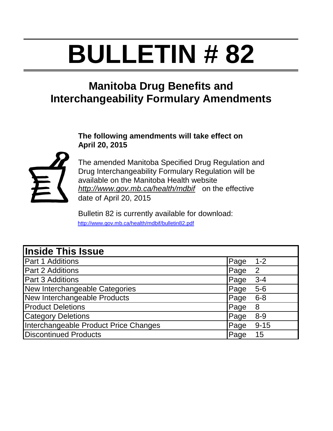# **BULLETIN # 82**

# **Manitoba Drug Benefits and Interchangeability Formulary Amendments**

#### **The following amendments will take effect on April 20, 2015**



The amended Manitoba Specified Drug Regulation and Drug Interchangeability Formulary Regulation will be available on the Manitoba Health website *http://www.gov.mb.ca/health/mdbif* on the effective date of April 20, 2015

Bulletin 82 is currently available for download: http://www.gov.mb.ca/health/mdbif/bulletin82.pdf

| <b>Inside This Issue</b>              |                      |
|---------------------------------------|----------------------|
| <b>Part 1 Additions</b>               | Page<br>$1 - 2$      |
| Part 2 Additions                      | Page<br>2            |
| <b>Part 3 Additions</b>               | Page<br>$3 - 4$      |
| New Interchangeable Categories        | <b>Page</b><br>$5-6$ |
| New Interchangeable Products          | Page<br>$6 - 8$      |
| <b>Product Deletions</b>              | Page<br>8            |
| <b>Category Deletions</b>             | $8 - 9$<br>Page      |
| Interchangeable Product Price Changes | $9 - 15$<br>Page     |
| <b>Discontinued Products</b>          | Page<br>15           |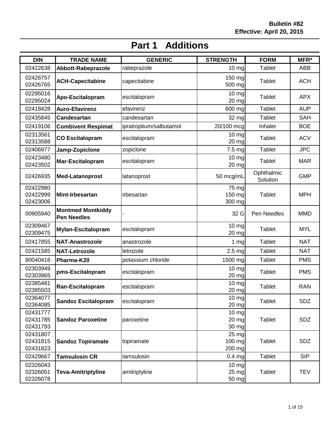| <b>DIN</b>                       | <b>TRADE NAME</b>                              | <b>GENERIC</b>          | <b>STRENGTH</b>                        | <b>FORM</b>            | MFR*       |
|----------------------------------|------------------------------------------------|-------------------------|----------------------------------------|------------------------|------------|
| 02422638                         | Abbott-Rabeprazole                             | rabeprazole             | 10 mg                                  | Tablet                 | ABB        |
| 02426757<br>02426765             | <b>ACH-Capecitabine</b>                        | capecitabine            | 150 mg<br>500 mg                       | <b>Tablet</b>          | <b>ACH</b> |
| 02295016<br>02295024             | Apo-Escitalopram                               | escitalopram            | $10$ mg<br>20 mg                       | Tablet                 | <b>APX</b> |
| 02418428                         | <b>Auro-Efavirenz</b>                          | efavirenz               | 600 mg                                 | <b>Tablet</b>          | <b>AUP</b> |
| 02435845                         | <b>Candesartan</b>                             | candesartan             | 32 mg                                  | Tablet                 | SAH        |
| 02419106                         | <b>Combivent Respimat</b>                      | ipratroptium/salbutamol | 20/100 mcg                             | Inhaler                | <b>BOE</b> |
| 02313561<br>02313588             | <b>CO Escitalopram</b>                         | escitalopram            | 10 <sub>mg</sub><br>20 mg              | <b>Tablet</b>          | <b>ACV</b> |
| 02406977                         | Jamp-Zopiclone                                 | zopiclone               | 7.5 mg                                 | <b>Tablet</b>          | <b>JPC</b> |
| 02423480<br>02423502             | Mar-Escitalopram                               | escitalopram            | 10 mg<br>20 mg                         | <b>Tablet</b>          | <b>MAR</b> |
| 02426935                         | <b>Med-Latanoprost</b>                         | latanoprost             | 50 mcg/mL                              | Ophthalmic<br>Solution | <b>GMP</b> |
| 02422980<br>02422999<br>02423006 | Mint-Irbesartan                                | irbesartan              | 75 mg<br>150 mg<br>300 mg              | <b>Tablet</b>          | <b>MPH</b> |
| 00905940                         | <b>Montmed Montkiddy</b><br><b>Pen Needles</b> |                         | 32 G                                   | Pen Needles            | <b>MMD</b> |
| 02309467<br>02309475             | <b>Mylan-Escitalopram</b>                      | escitalopram            | 10 mg<br>20 mg                         | <b>Tablet</b>          | <b>MYL</b> |
| 02417855                         | <b>NAT-Anastrozole</b>                         | anastrozole             | $1$ mg                                 | <b>Tablet</b>          | <b>NAT</b> |
| 02421585                         | <b>NAT-Letrozole</b>                           | letrozole               | $2.5$ mg                               | Tablet                 | <b>NAT</b> |
| 80040416                         | Pharma-K20                                     | potassium chloride      | 1500 mg                                | Tablet                 | <b>PMS</b> |
| 02303949<br>02303965             | pms-Escitalopram                               | escitalopram            | 10 <sub>mg</sub><br>20 mg              | <b>Tablet</b>          | <b>PMS</b> |
| 02385481<br>02385503             | Ran-Escitalopram                               | escitalopram            | $10$ mg<br>20 mg                       | <b>Tablet</b>          | <b>RAN</b> |
| 02364077<br>02364085             | <b>Sandoz Escitalopram</b>                     | escitalopram            | 10 mg<br>20 mg                         | <b>Tablet</b>          | <b>SDZ</b> |
| 02431777<br>02431785<br>02431793 | <b>Sandoz Paroxetine</b>                       | paroxetine              | $10$ mg<br>20 mg<br>30 mg              | Tablet                 | SDZ        |
| 02431807<br>02431815<br>02431823 | <b>Sandoz Topiramate</b>                       | topiramate              | $25 \, \text{mg}$<br>100 mg<br>200 mg  | <b>Tablet</b>          | SDZ        |
| 02429667                         | <b>Tamsulosin CR</b>                           | tamsulosin              | $0.4$ mg                               | <b>Tablet</b>          | <b>SIP</b> |
| 02326043<br>02326051<br>02326078 | <b>Teva-Amitriptyline</b>                      | amitriptyline           | $10 \, mg$<br>$25 \text{ mg}$<br>50 mg | Tablet                 | <b>TEV</b> |

## **Part 1 Additions**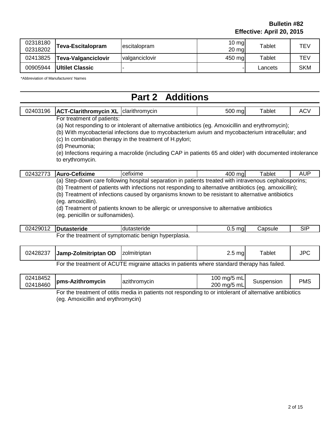| 02318180<br>02318202 | Teva-Escitalopram          | lescitalopram  | $10 \text{ mg}$<br>$20 \text{ mg}$ | Tablet  | TEV        |
|----------------------|----------------------------|----------------|------------------------------------|---------|------------|
| 02413825             | <b>Teva-Valganciclovir</b> | valganciclovir | 450 mg                             | Tablet  | TEV        |
| 00905944             | <b>Ultilet Classic</b>     |                |                                    | Lancets | <b>SKM</b> |

\*Abbreviation of Manufacturers' Names

#### **Part 2 Additions**

| 02403196 | <b>ACT-Clarithromycin XL</b>  | <b>Iclarithromvcin</b> | 500<br>ma. | <sup>-</sup> ablet | $\sim$<br>AC. |
|----------|-------------------------------|------------------------|------------|--------------------|---------------|
|          | ∵treatment ∩t natients<br>-∩r |                        |            |                    |               |

For treatment of patients:

(a) Not responding to or intolerant of alternative antibiotics (eg. Amoxicillin and erythromycin);

(b) With mycobacterial infections due to mycobacterium avium and mycobacterium intracellular; and

(c) In combination therapy in the treatment of H.pylori;

(d) Pneumonia;

(e) Infections requiring a macrolide (including CAP in patients 65 and older) with documented intolerance to erythromycin.

| $\overline{\phantom{a}}$<br>™∠<br>◡▵<br>ີ                                                                                                          | etixime<br>$\ddot{\,}$<br>n.<br>-- | <br>$\sim$ $\sim$ $\sim$ $\sim$<br>—ு<br>icenxime | $\sim$<br>ma<br>ruu | ablet | .<br>$\mathbf{v}$ |  |
|----------------------------------------------------------------------------------------------------------------------------------------------------|------------------------------------|---------------------------------------------------|---------------------|-------|-------------------|--|
| Care<br>natients.<br>. cenhalosnorins:<br>' senaration in.<br>treated<br>with<br>hosnital<br>ıntr<br>ravenous<br>tollowing<br>∙down<br>(a)<br>70A- |                                    |                                                   |                     |       |                   |  |

(a) Step-down care following hospital separation in patients treated with intravenous cephalosporins; (b) Treatment of patients with infections not responding to alternative antibiotics (eg. amoxicillin);

(b) Treatment of infections caused by organisms known to be resistant to alternative antibiotics

(eg. amoxicillin).

(d) Treatment of patients known to be allergic or unresponsive to alternative antibiotics (eg. penicillin or sulfonamides).

| 02429012 | <b>IDutasteride</b> | dutasteride                                          | ma. | .apsule | SIF |
|----------|---------------------|------------------------------------------------------|-----|---------|-----|
|          |                     | For the treatment of symptomatic benign hyperplasia. |     |         |     |

| 02428237 Jamp-Zolmitriptan OD   zolmitriptan                                                 |  | $2.5$ mg | ™ablet |  |  |
|----------------------------------------------------------------------------------------------|--|----------|--------|--|--|
| Fer the treatment of ACLITE minroine attacks in potionts whore atons and there we has follod |  |          |        |  |  |

For the treatment of ACUTE migraine attacks in patients where standard therapy has failed.

| 02418452<br>02418460 | Ipms-Azithromycin | Tazithromycin | 100 mg/5 mL<br>200 mg/5 mL | Suspension | <b>PMS</b> |
|----------------------|-------------------|---------------|----------------------------|------------|------------|
|                      | .                 |               |                            | .          |            |

For the treatment of otitis media in patients not responding to or intolerant of alternative antibiotics (eg. Amoxicillin and erythromycin)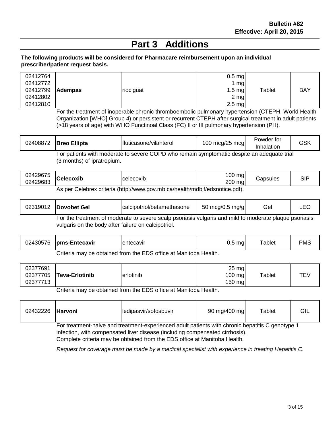#### **Part 3 Additions**

#### **The following products will be considered for Pharmacare reimbursement upon an individual prescriber/patient request basis.**

| 02412764<br>02412772 |                |           | $0.5$ mg<br>1 mgl |        |            |
|----------------------|----------------|-----------|-------------------|--------|------------|
| 02412799             | <b>Adempas</b> | riociguat | $1.5$ mg          | Tablet | <b>BAY</b> |
| 02412802             |                |           | 2 mg              |        |            |
| 02412810             |                |           | $2.5$ mg          |        |            |

For the treatment of inoperable chronic thromboembolic pulmonary hypertension (CTEPH, World Health Organization [WHO] Group 4) or persistent or recurrent CTEPH after surgical treatment in adult patients (>18 years of age) with WHO Functinoal Class (FC) II or III pulmonary hypertension (PH).

| 02408872 <b>Breo Ellipta</b> | <b>Ifluticasone/vilanterol</b>                                                             | 100 mcg/25 mcg | Powder for<br>Inhalation | GSK |
|------------------------------|--------------------------------------------------------------------------------------------|----------------|--------------------------|-----|
|                              | For patients with moderate to severe COPD who remain symptomatic despite an adequate trial |                |                          |     |

(3 months) of ipratropium.

| 02429675<br>02429683                                                                                            | <b>ICelecoxib</b> | celecoxib | 100<br>ma<br>200<br>ma | Capsules | $\sim$<br>. .<br>וט. |
|-----------------------------------------------------------------------------------------------------------------|-------------------|-----------|------------------------|----------|----------------------|
| A second of statement and contained that the context second terms the state that the discontraction of $\Omega$ |                   |           |                        |          |                      |

As per Celebrex criteria (http://www.gov.mb.ca/health/mdbif/edsnotice.pdf).

|                                                                                                        | 02319012   Dovobet Gel                              | calcipotriol/betamethasone | 50 mcg/0.5 mg/g | Gel | LEO |  |  |
|--------------------------------------------------------------------------------------------------------|-----------------------------------------------------|----------------------------|-----------------|-----|-----|--|--|
| For the treatment of moderate to severe scalp psoriasis vulgaris and mild to moderate plaque psoriasis |                                                     |                            |                 |     |     |  |  |
|                                                                                                        | vulgaris on the body after failure on calcipotriol. |                            |                 |     |     |  |  |

| 02430576  pms-Entecavir | lentecavir                                                       | $0.5$ mgl | Tablet | <b>PMS</b> |
|-------------------------|------------------------------------------------------------------|-----------|--------|------------|
|                         | Criteria may be obtained from the EDS office at Manitoba Health. |           |        |            |

| 02377691<br>02377705<br>02377713                                | Teva-Erlotinib | erlotinib | $25 \text{ mg}$<br>$100 \text{ mg}$<br>$150$ mg | $\tau$ ablet | TEV |
|-----------------------------------------------------------------|----------------|-----------|-------------------------------------------------|--------------|-----|
| Critoria may be obtained from the EDS office at Manitoba Health |                |           |                                                 |              |     |

Criteria may be obtained from the EDS office at Manitoba Health.

| 02432226 | <b>Harvoni</b> | ledipasvir/sofosbuvir                                                                                                                                                            | 90 mg/400 mg | Tablet | GIL |
|----------|----------------|----------------------------------------------------------------------------------------------------------------------------------------------------------------------------------|--------------|--------|-----|
|          |                | For treatment-naive and treatment-experienced adult patients with chronic hepatitis C genotype 1<br>infection, with compensated liver disease (including compensated cirrhosis). |              |        |     |

Complete criteria may be obtained from the EDS office at Manitoba Health.

*Request for coverage must be made by a medical specialist with experience in treating Hepatitis C.*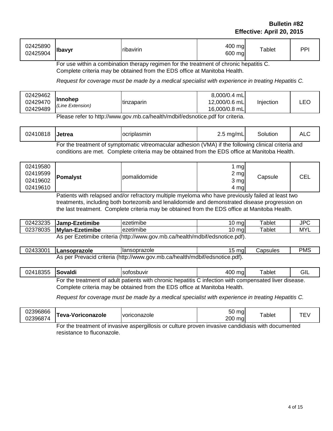#### **Bulletin #82 Effective: April 20, 2015**

| 02425890<br>02425904 | <b>Ibavyr</b> | <b>ribavirin</b> | 400 mg<br>600 mg | Tablet | וסס |
|----------------------|---------------|------------------|------------------|--------|-----|
|----------------------|---------------|------------------|------------------|--------|-----|

For use within a combination therapy regimen for the treatment of chronic hepatitis C. Complete criteria may be obtained from the EDS office at Manitoba Health.

*Request for coverage must be made by a medical specialist with experience in treating Hepatitis C.*

Please refer to http://www.gov.mb.ca/health/mdbif/edsnotice.pdf for criteria.

| 02410818 <b>Jetrea</b> | ocriplasmin                                                                                          | $2.5 \text{ mg/mL}$ | Solution | ALC |
|------------------------|------------------------------------------------------------------------------------------------------|---------------------|----------|-----|
|                        | For the treatment of symptomatic vitreomacular adhesion (VMA) if the following clinical criteria and |                     |          |     |

conditions are met. Complete criteria may be obtained from the EDS office at Manitoba Health.

Patients with relapsed and/or refractory multiple myeloma who have previously failed at least two treatments, including both bortezomib and lenalidomide and demonstrated disease progression on the last treatment. Complete criteria may be obtained from the EDS office at Manitoba Health.

| 02423235 | Jamp-Ezetimibe                | lezetimibe                                          | '0 mai | Tablet       | <b>JPC</b> |
|----------|-------------------------------|-----------------------------------------------------|--------|--------------|------------|
| 02378035 | Mylan-Ezetimibe               | <br>lezetimibe                                      | '0 mal | $\tau$ ablet | MYI        |
|          | Ezetimihe criteria.<br>As ner | $\mu$ (http://www.gov.mb.ca/health/mdhif/edspotice) | ndf)   |              |            |

As per Ezetimibe criteria (http://www.gov.mb.ca/health/mdbif/edsnotice.pdf).

| 02433001                                                                    | <b>ILansoprazole</b> | <b>Ilansoprazole</b> | 15 mal | شapsules | <b>PMS</b> |
|-----------------------------------------------------------------------------|----------------------|----------------------|--------|----------|------------|
| As per Prevacid criteria (http://www.gov.mb.ca/health/mdbif/edsnotice.pdf). |                      |                      |        |          |            |

| 02418355 Sovaldi | Isofosbuvir                                                                                                    | 400 mg | Tablet | GIL |
|------------------|----------------------------------------------------------------------------------------------------------------|--------|--------|-----|
|                  | For the treatment of adult patients with chronic hepatitis C infection with compensated liver disease.<br>---- |        |        |     |

Complete criteria may be obtained from the EDS office at Manitoba Health.

*Request for coverage must be made by a medical specialist with experience in treating Hepatitis C.*

| 02396866<br>02396874                                                                                             | <b>Feva-Voriconazole</b> | voriconazole | $ \sim$<br>ma<br>50<br>200<br>ma | `ablet |  |
|------------------------------------------------------------------------------------------------------------------|--------------------------|--------------|----------------------------------|--------|--|
| $\mathsf{Ext}$ the treatment of investige concraillering or outture proven investige condidicate with decumented |                          |              |                                  |        |  |

For the treatment of invasive aspergillosis or culture proven invasive candidiasis with documented resistance to fluconazole.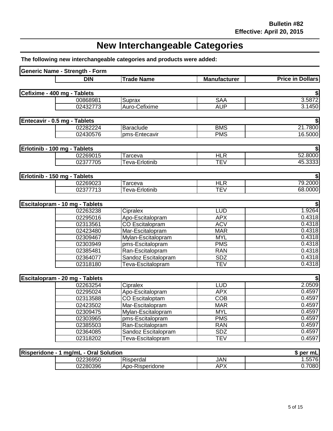## **New Interchangeable Categories**

**The following new interchangeable categories and products were added:**

| Generic Name - Strength - Form        |                        |                     |                         |
|---------------------------------------|------------------------|---------------------|-------------------------|
| <b>DIN</b>                            | <b>Trade Name</b>      | <b>Manufacturer</b> | <b>Price in Dollars</b> |
|                                       |                        |                     |                         |
| Cefixime - 400 mg - Tablets           |                        |                     |                         |
| 00868981                              | Suprax                 | <b>SAA</b>          | 3.5872                  |
| 02432773                              | Auro-Cefixime          | <b>AUP</b>          | 3.1450                  |
| Entecavir - 0.5 mg - Tablets          |                        |                     |                         |
| 02282224                              | Baraclude              | <b>BMS</b>          | 21.7800                 |
| 02430576                              | pms-Entecavir          | <b>PMS</b>          | 16.5000                 |
|                                       |                        |                     |                         |
| Erlotinib - 100 mg - Tablets          |                        |                     |                         |
| 02269015                              | Tarceva                | <b>HLR</b>          | 52.8000                 |
| 02377705                              | Teva-Erlotinib         | <b>TEV</b>          | 45.3333                 |
| Erlotinib - 150 mg - Tablets          |                        |                     |                         |
| 02269023                              | Tarceva                | <b>HLR</b>          | 79.2000                 |
| 02377713                              | Teva-Erlotinib         | <b>TEV</b>          | 68.0000                 |
|                                       |                        |                     |                         |
| Escitalopram - 10 mg - Tablets        |                        |                     |                         |
| 02263238                              | Cipralex               | <b>LUD</b>          | 1.9264                  |
| 02295016                              | Apo-Escitalopram       | <b>APX</b>          | 0.4318                  |
| 02313561                              | CO Escitalopram        | <b>ACV</b>          | 0.4318                  |
| 02423480                              | Mar-Escitalopram       | <b>MAR</b>          | 0.4318                  |
| 02309467                              | Mylan-Escitalopram     | <b>MYL</b>          | 0.4318                  |
| 02303949                              | pms-Escitalopram       | <b>PMS</b>          | 0.4318                  |
| 02385481                              | Ran-Escitalopram       | <b>RAN</b>          | 0.4318                  |
| 02364077                              | Sandoz Escitalopram    | <b>SDZ</b>          | 0.4318                  |
| 02318180                              | Teva-Escitalopram      | <b>TEV</b>          | 0.4318                  |
| Escitalopram - 20 mg - Tablets        |                        |                     |                         |
| 02263254                              | Cipralex               | <b>LUD</b>          | 2.0509                  |
| 02295024                              | Apo-Escitalopram       | <b>APX</b>          | 0.4597                  |
| 02313588                              | <b>CO Escitaloptam</b> | COB                 | 0.4597                  |
| 02423502                              | Mar-Escitalopram       | <b>MAR</b>          | 0.4597                  |
| 02309475                              | Mylan-Escitalopram     | <b>MYL</b>          | 0.4597                  |
| 02303965                              | pms-Escitalopram       | <b>PMS</b>          | 0.4597                  |
| 02385503                              | Ran-Escitalopram       | <b>RAN</b>          | 0.4597                  |
| 02364085                              | Sandoz Escitalopram    | <b>SDZ</b>          | 0.4597                  |
| 02318202                              | Teva-Escitalopram      | <b>TEV</b>          | 0.4597                  |
|                                       |                        |                     |                         |
| Risperidone - 1 mg/mL - Oral Solution |                        |                     | \$ per mL               |
| 02236950                              | Risperdal              | <b>JAN</b>          | 1.5576                  |
| 02280396                              | Apo-Risperidone        | <b>APX</b>          | 0.7080                  |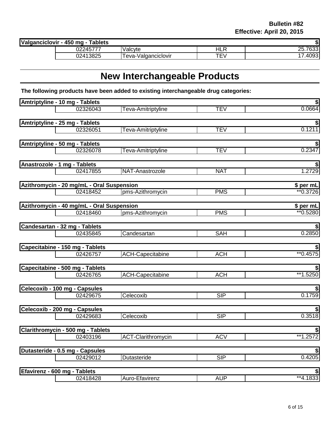| Valganciclovir<br><sup>.</sup> - 450 mg -<br>Tablets |          |                     |              |                  |
|------------------------------------------------------|----------|---------------------|--------------|------------------|
|                                                      | 02245777 | Valcyte             | ם וב<br>่⊓∟Ւ | つに<br>ხპპ<br>ZJ. |
|                                                      | 02413825 | Teva-Valganciclovir | <b>P</b>     | $\sim$<br>.40931 |

## **New Interchangeable Products**

**The following products have been added to existing interchangeable drug categories:**

| Amtriptyline - 10 mg - Tablets            |          |                           |            | \$           |
|-------------------------------------------|----------|---------------------------|------------|--------------|
|                                           | 02326043 | Teva-Amitriptyline        | <b>TEV</b> | 0.0664       |
|                                           |          |                           |            |              |
| Amtriptyline - 25 mg - Tablets            |          |                           |            |              |
|                                           | 02326051 | Teva-Amitriptyline        | <b>TEV</b> | 0.1211       |
| Amtriptyline - 50 mg - Tablets            |          |                           |            |              |
|                                           | 02326078 | Teva-Amitriptyline        | <b>TEV</b> | 0.2347       |
|                                           |          |                           |            |              |
| Anastrozole - 1 mg - Tablets              |          |                           |            |              |
|                                           | 02417855 | NAT-Anastrozole           | <b>NAT</b> | 1.2729       |
| Azithromycin - 20 mg/mL - Oral Suspension |          |                           |            | \$ per mL    |
|                                           | 02418452 | pms-Azithromycin          | <b>PMS</b> | ** 0.3726    |
|                                           |          |                           |            |              |
| Azithromycin - 40 mg/mL - Oral Suspension |          |                           |            | \$ per mL    |
|                                           | 02418460 | pms-Azithromycin          | <b>PMS</b> | ** 0.5280    |
| Candesartan - 32 mg - Tablets             |          |                           |            |              |
|                                           | 02435845 | Candesartan               | <b>SAH</b> | 0.2850       |
|                                           |          |                           |            |              |
| Capecitabine - 150 mg - Tablets           |          |                           |            |              |
|                                           | 02426757 | <b>ACH-Capecitabine</b>   | <b>ACH</b> | $*$ $0.4575$ |
| Capecitabine - 500 mg - Tablets           |          |                           |            |              |
|                                           | 02426765 | <b>ACH-Capecitabine</b>   | <b>ACH</b> | **1.5250     |
|                                           |          |                           |            |              |
| Celecoxib - 100 mg - Capsules             |          |                           |            |              |
|                                           | 02429675 | Celecoxib                 | <b>SIP</b> | 0.1759       |
| Celecoxib - 200 mg - Capsules             |          |                           |            |              |
|                                           | 02429683 | Celecoxib                 | SIP        | 0.3518       |
|                                           |          |                           |            |              |
| Clarithromycin - 500 mg - Tablets         |          |                           |            |              |
|                                           | 02403196 | <b>ACT-Clarithromycin</b> | <b>ACV</b> | **1.2572     |
| Dutasteride - 0.5 mg - Capsules           |          |                           |            |              |
|                                           | 02429012 | Dutasteride               | SIP        | 0.4205       |
|                                           |          |                           |            |              |
| Efavirenz - 600 mg - Tablets              |          |                           |            |              |
|                                           | 02418428 | Auro-Efavirenz            | <b>AUP</b> | **4.1833     |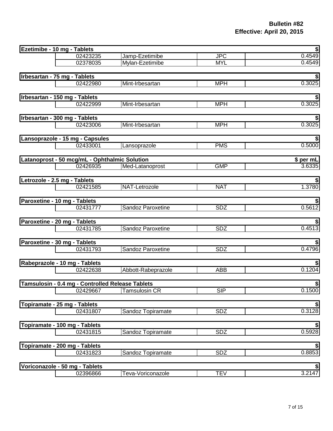| Ezetimibe - 10 mg - Tablets   |                                                  |                    |            | €                 |
|-------------------------------|--------------------------------------------------|--------------------|------------|-------------------|
|                               | 02423235                                         | Jamp-Ezetimibe     | <b>JPC</b> | 0.4549            |
|                               | 02378035                                         | Mylan-Ezetimibe    | <b>MYL</b> | 0.4549            |
|                               |                                                  |                    |            |                   |
| Irbesartan - 75 mg - Tablets  |                                                  |                    |            |                   |
|                               | 02422980                                         | Mint-Irbesartan    | <b>MPH</b> | 0.3025            |
| Irbesartan - 150 mg - Tablets |                                                  |                    |            |                   |
|                               | 02422999                                         | Mint-Irbesartan    | <b>MPH</b> | 0.3025            |
|                               |                                                  |                    |            |                   |
| Irbesartan - 300 mg - Tablets |                                                  |                    |            |                   |
|                               | 02423006                                         | Mint-Irbesartan    | <b>MPH</b> | 0.3025            |
|                               | Lansoprazole - 15 mg - Capsules                  |                    |            | \$                |
|                               | 02433001                                         | Lansoprazole       | <b>PMS</b> | 0.5000            |
|                               |                                                  |                    |            |                   |
|                               | Latanoprost - 50 mcg/mL - Ophthalmic Solution    |                    |            | \$ per mL         |
|                               | 02426935                                         | Med-Latanoprost    | <b>GMP</b> | 3.6335            |
| Letrozole - 2.5 mg - Tablets  |                                                  |                    |            |                   |
|                               | 02421585                                         | NAT-Letrozole      | <b>NAT</b> | 1.3780            |
|                               |                                                  |                    |            |                   |
| Paroxetine - 10 mg - Tablets  |                                                  |                    |            |                   |
|                               | 02431777                                         | Sandoz Paroxetine  | <b>SDZ</b> | 0.5612            |
| Paroxetine - 20 mg - Tablets  |                                                  |                    |            |                   |
|                               | 02431785                                         | Sandoz Paroxetine  | SDZ        | 0.4513            |
|                               |                                                  |                    |            |                   |
| Paroxetine - 30 mg - Tablets  |                                                  |                    |            |                   |
|                               | 02431793                                         | Sandoz Paroxetine  | <b>SDZ</b> | 0.4796            |
|                               |                                                  |                    |            |                   |
|                               | Rabeprazole - 10 mg - Tablets                    |                    |            | \$                |
|                               | 02422638                                         | Abbott-Rabeprazole | <b>ABB</b> | 0.1204            |
|                               | Tamsulosin - 0.4 mg - Controlled Release Tablets |                    |            |                   |
|                               | 02429667                                         | Tamsulosin CR      | <b>SIP</b> | $rac{\$}{0.1500}$ |
|                               |                                                  |                    |            |                   |
| Topiramate - 25 mg - Tablets  |                                                  |                    |            | \$                |
|                               | 02431807                                         | Sandoz Topiramate  | <b>SDZ</b> | 0.3128            |
|                               | Topiramate - 100 mg - Tablets                    |                    |            |                   |
|                               | 02431815                                         | Sandoz Topiramate  | <b>SDZ</b> | $rac{\$}{0.5928}$ |
|                               |                                                  |                    |            |                   |
|                               | Topiramate - 200 mg - Tablets                    |                    |            | \$                |
|                               | 02431823                                         | Sandoz Topiramate  | <b>SDZ</b> | 0.8853            |
|                               |                                                  |                    |            |                   |
|                               | Voriconazole - 50 mg - Tablets                   |                    |            | \$                |
|                               | 02396866                                         | Teva-Voriconazole  | <b>TEV</b> | 3.2147            |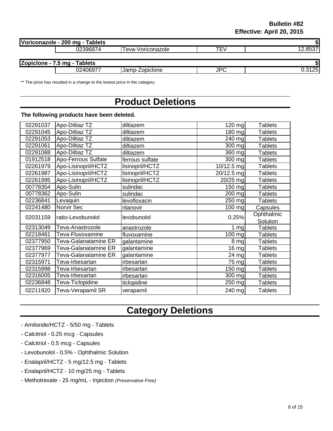| Voriconazole - 200 mg - Tablets |                   |     |        |
|---------------------------------|-------------------|-----|--------|
| 02396874                        | Teva-Voriconazole | TEV |        |
|                                 |                   |     |        |
| Zopiclone - 7.5 mg - Tablets    |                   |     |        |
| 02406977                        | Jamp-Zopiclone    | JPC | 0.3125 |
|                                 |                   |     |        |

\*\* The price has resulted in a change to the lowest price in the category.

#### **Product Deletions**

#### **The following products have been deleted.**

| 02291037 | Apo-Diltiaz TZ             | diltiazem       | 120 mg              | <b>Tablets</b>         |
|----------|----------------------------|-----------------|---------------------|------------------------|
| 02291045 | Apo-Diltiaz TZ             | diltiazem       | 180 mg              | Tablets                |
| 02291053 | Apo-Diltiaz TZ             | diltiazem       | 240 mg              | <b>Tablets</b>         |
| 02291061 | Apo-Diltiaz TZ             | diltiazem       | 300 mg              | <b>Tablets</b>         |
| 02291088 | Apo-Diltiaz TZ             | diltiazem       | $\overline{360}$ mg | <b>Tablets</b>         |
| 01912518 | <b>Apo-Ferrous Sulfate</b> | ferrous sulfate | 300 mg              | <b>Tablets</b>         |
| 02261979 | Apo-Lisinopril/HCTZ        | lisinopril/HCTZ | 10/12.5 mg          | <b>Tablets</b>         |
| 02261987 | Apo-Lisinopril/HCTZ        | lisinopril/HCTZ | 20/12.5 mg          | <b>Tablets</b>         |
| 02261995 | Apo-Lisinopril/HCTZ        | lisinopril/HCTZ | 20/25 mg            | <b>Tablets</b>         |
| 00778354 | Apo-Sulin                  | sulindac        | 150 mg              | <b>Tablets</b>         |
| 00778362 | Apo-Sulin                  | sulindac        | 200 mg              | <b>Tablets</b>         |
| 02236841 | Levaquin                   | levofloxacin    | 250 mg              | <b>Tablets</b>         |
| 02241480 | Norvir Sec                 | ritanovir       | 100 mg              | Capsules               |
| 02031159 | ratio-Levobunolol          | levobunolol     | 0.25%               | Ophthalmic<br>Solution |
| 02313049 | Teva-Anastrozole           | anastrozole     | 1 mg                | <b>Tablets</b>         |
| 02218461 | Teva-Fluvoxamine           | fluvoxamine     | 100 mg              | <b>Tablets</b>         |
| 02377950 | Teva-Galanatamine ER       | galantamine     | 8 mg                | <b>Tablets</b>         |
| 02377969 | Teva-Galanatamine ER       | galantamine     | 16 mg               | <b>Tablets</b>         |
| 02377977 | Teva-Galanatamine ER       | galantamine     | 24 mg               | <b>Tablets</b>         |
| 02315971 | Teva-Irbesartan            | irbesartan      | 75 mg               | <b>Tablets</b>         |
| 02315998 | Teva-Irbesartan            | irbesartan      | 150 mg              | <b>Tablets</b>         |
| 02316005 | Teva-Irbesartan            | irbesartan      | 300 mg              | <b>Tablets</b>         |
| 02236848 | Teva-Ticlopidine           | ticlopidine     | 250 mg              | <b>Tablets</b>         |
|          |                            |                 |                     |                        |
| 02211920 | Teva-Verapamil SR          | verapamil       | 240 mg              | <b>Tablets</b>         |

## **Category Deletions**

- Amiloride/HCTZ 5/50 mg Tablets
- Calcitriol 0.25 mcg Capsules
- Calcitriol 0.5 mcg Capsules
- Levobunolol 0.5% Ophthalmic Solution
- Enalapril/HCTZ 5 mg/12.5 mg Tablets
- Enalapril/HCTZ 10 mg/25 mg Tablets
- Methotrexate 25 mg/mL Injection *(Preservative Free)*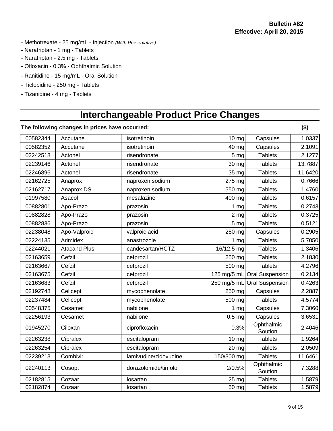- Methotrexate 25 mg/mL Injection *(With Preservative)*
- Naratriptan 1 mg Tablets
- Naratriptan 2.5 mg Tablets
- Ofloxacin 0.3% Ophthalmic Solution
- Ranitidine 15 mg/mL Oral Solution
- Ticlopidine 250 mg Tablets
- Tizanidine 4 mg Tablets

## **Interchangeable Product Price Changes**

|          | The following changes in prices have occurred: |                       |                  |                        | $($ \$) |
|----------|------------------------------------------------|-----------------------|------------------|------------------------|---------|
| 00582344 | Accutane                                       | isotretinoin          | $10$ mg          | Capsules               | 1.0337  |
| 00582352 | Accutane                                       | isotretinoin          | 40 mg            | Capsules               | 2.1091  |
| 02242518 | Actonel                                        | risendronate          | 5 mg             | <b>Tablets</b>         | 2.1277  |
| 02239146 | Actonel                                        | risendronate          | 30 mg            | <b>Tablets</b>         | 13.7887 |
| 02246896 | Actonel                                        | risendronate          | 35 mg            | <b>Tablets</b>         | 11.6420 |
| 02162725 | Anaprox                                        | naproxen sodium       | 275 mg           | <b>Tablets</b>         | 0.7666  |
| 02162717 | Anaprox DS                                     | naproxen sodium       | 550 mg           | <b>Tablets</b>         | 1.4760  |
| 01997580 | Asacol                                         | mesalazine            | 400 mg           | <b>Tablets</b>         | 0.6157  |
| 00882801 | Apo-Prazo                                      | prazosin              | $1 \, \text{mg}$ | <b>Tablets</b>         | 0.2743  |
| 00882828 | Apo-Prazo                                      | prazosin              | $2 \, mg$        | <b>Tablets</b>         | 0.3725  |
| 00882836 | Apo-Prazo                                      | prazosin              | 5 mg             | <b>Tablets</b>         | 0.5121  |
| 02238048 | Apo-Valproic                                   | valproic acid         | 250 mg           | Capsules               | 0.2905  |
| 02224135 | Arimidex                                       | anastrozole           | $1 \, \text{mg}$ | <b>Tablets</b>         | 5.7050  |
| 02244021 | <b>Atacand Plus</b>                            | candesartan/HCTZ      | 16/12.5 mg       | <b>Tablets</b>         | 1.3406  |
| 02163659 | Cefzil                                         | cefprozil             | 250 mg           | <b>Tablets</b>         | 2.1830  |
| 02163667 | Cefzil                                         | cefprozil             | 500 mg           | <b>Tablets</b>         | 4.2796  |
| 02163675 | Cefzil                                         | cefprozil             | 125 mg/5 mL      | <b>Oral Suspension</b> | 0.2134  |
| 02163683 | Cefzil                                         | cefprozil             | 250 mg/5 mL      | <b>Oral Suspension</b> | 0.4263  |
| 02192748 | Cellcept                                       | mycophenolate         | 250 mg           | Capsules               | 2.2887  |
| 02237484 | Cellcept                                       | mycophenolate         | 500 mg           | <b>Tablets</b>         | 4.5774  |
| 00548375 | Cesamet                                        | nabilone              | 1 <sub>mg</sub>  | Capsules               | 7.3060  |
| 02256193 | Cesamet                                        | nabilone              | $0.5$ mg         | Capsules               | 3.6531  |
| 01945270 | Ciloxan                                        | ciprofloxacin         | 0.3%             | Ophthalmic<br>Soution  | 2.4046  |
| 02263238 | Cipralex                                       | escitalopram          | $10$ mg          | <b>Tablets</b>         | 1.9264  |
| 02263254 | Cipralex                                       | escitalopram          | 20 mg            | <b>Tablets</b>         | 2.0509  |
| 02239213 | Combivir                                       | lamivudine/zidovudine | 150/300 mg       | <b>Tablets</b>         | 11.6461 |
| 02240113 | Cosopt                                         | dorazolomide/timolol  | 2/0.5%           | Ophthalmic<br>Soution  | 7.3288  |
| 02182815 | Cozaar                                         | losartan              | 25 mg            | <b>Tablets</b>         | 1.5879  |
| 02182874 | Cozaar                                         | losartan              | 50 mg            | <b>Tablets</b>         | 1.5879  |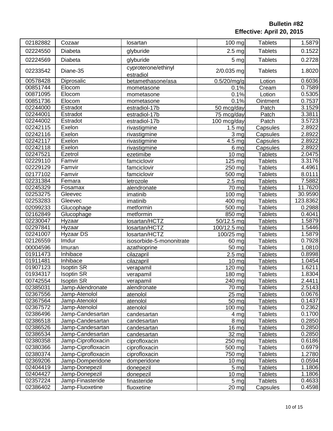| 02182882 | Cozaar             | losartan                         | 100 mg                  | <b>Tablets</b> | 1.5879   |
|----------|--------------------|----------------------------------|-------------------------|----------------|----------|
| 02224550 | Diabeta            | glyburide                        | $2.5$ mg                | <b>Tablets</b> | 0.1522   |
| 02224569 | Diabeta            | glyburide                        | 5 mg                    | <b>Tablets</b> | 0.2728   |
| 02233542 | Diane-35           | cyproterone/ethinyl<br>estradiol | 2/0.035 mg              | <b>Tablets</b> | 1.8020   |
| 00578428 | Diprosalic         | betamethasone/asa                | 0.5/20/mg/g             | Lotion         | 0.6036   |
| 00851744 | Elocom             | mometasone                       | 0.1%                    | Cream          | 0.7589   |
| 00871095 | Elocom             | mometasone                       | 0.1%                    | Lotion         | 0.5305   |
| 00851736 | Elocom             | mometasone                       | 0.1%                    | Ointment       | 0.7537   |
| 02244000 | Estradot           | estradiol-17b                    | 50 mcg/day              | Patch          | 3.1529   |
| 02244001 | Estradot           | estradiol-17b                    | 75 mcg/day              | Patch          | 3.3811   |
| 02244002 | Estradot           | estradiol-17b                    | 100 mcg/day             | Patch          | 3.5723   |
| 02242115 | Exelon             | rivastigmine                     | $\overline{1.5}$ mg     | Capsules       | 2.8922   |
| 02242116 | Exelon             | rivastigmine                     | $3 \frac{mg}{g}$        | Capsules       | 2.8922   |
| 02242117 | Exelon             | rivastigmine                     | 4.5 <sub>mg</sub>       | Capsules       | 2.8922   |
| 02242118 | Exelon             | rivastigmine                     | 6 mg                    | Capsules       | 2.8922   |
| 02247521 | Ezetrol            | ezetimibe                        | 10 mg                   | <b>Tablets</b> | 2.0475   |
| 02229110 | Famvir             | famciclovir                      | $\overline{1}$ 25 mg    | <b>Tablets</b> | 3.3176   |
| 02229129 | Famvir             | famciclovir                      | 250 mg                  | <b>Tablets</b> | 4.4961   |
| 02177102 | Famvir             | famciclovir                      | 500 mg                  | <b>Tablets</b> | 8.0111   |
| 02231384 | Femara             | letrozole                        | 2.5 <sub>mg</sub>       | <b>Tablets</b> | 7.5882   |
| 02245329 | Fosamax            | alendronate                      | 70 mg                   | <b>Tablets</b> | 11.7620  |
| 02253275 | Gleevec            | imatinib                         | 100 mg                  | <b>Tablets</b> | 30.9590  |
| 02253283 | Gleevec            | imatinib                         | $\overline{4}00$ mg     | <b>Tablets</b> | 123.8362 |
| 02099233 | Glucophage         | metformin                        | 500 mg                  | <b>Tablets</b> | 0.2988   |
| 02162849 | Glucophage         | metformin                        | 850 mg                  | <b>Tablets</b> | 0.4041   |
| 02230047 | Hyzaar             | losartan/HCTZ                    | $\frac{1}{50}$ /12.5 mg | <b>Tablets</b> | 1.5879   |
| 02297841 | Hyzaar             | losartan/HCTZ                    | 100/12.5 mg             | <b>Tablets</b> | 1.5446   |
| 02241007 | Hyzaar DS          | losartan/HCTZ                    | 100/25 mg               | <b>Tablets</b> | 1.5879   |
| 02126559 | Imdur              | isosorbide-5-mononitrate         | 60 mg                   | <b>Tablets</b> | 0.7928   |
| 00004596 | Imuran             | azathioprine                     | 50 mg                   | <b>Tablets</b> | 1.0810   |
| 01911473 | Inhibace           | cilazapril                       | 2.5 <sub>mg</sub>       | <b>Tablets</b> | 0.8998   |
| 01911481 | <b>Inhibace</b>    | cilazapril                       | $10 \, mg$              | <b>Tablets</b> | 1.0454   |
| 01907123 | <b>Isoptin SR</b>  | verapamil                        | 120 mg                  | <b>Tablets</b> | 1.6211   |
| 01934317 | <b>Isoptin SR</b>  | verapamil                        | 180 mg                  | <b>Tablets</b> | 1.8304   |
| 00742554 | <b>Isoptin SR</b>  | verapamil                        | 240 mg                  | <b>Tablets</b> | 2.4411   |
| 02385031 | Jamp-Alendronate   | alendronate                      | 70 mg                   | <b>Tablets</b> | 2.5143   |
| 02367556 | Jamp-Atenolol      | atenolol                         | 25 mg                   | <b>Tablets</b> | 0.0676   |
| 02367564 | Jamp-Atenolol      | atenolol                         | 50 mg                   | <b>Tablets</b> | 0.1437   |
| 02367572 | Jamp-Atenolol      | atenolol                         | 100 mg                  | <b>Tablets</b> | 0.2362   |
| 02386496 | Jamp-Candesartan   | candesartan                      | 4 mg                    | <b>Tablets</b> | 0.1700   |
| 02386518 | Jamp-Candesartan   | candesartan                      | 8 mg                    | <b>Tablets</b> | 0.2850   |
| 02386526 | Jamp-Candesartan   | candesartan                      | 16 mg                   | <b>Tablets</b> | 0.2850   |
| 02386534 | Jamp-Candesartan   | candesartan                      | 32 mg                   | <b>Tablets</b> | 0.2850   |
| 02380358 | Jamp-Ciprofloxacin | ciprofloxacin                    | 250 mg                  | <b>Tablets</b> | 0.6186   |
| 02380366 | Jamp-Ciprofloxacin | ciprofloxacin                    | 500 mg                  | <b>Tablets</b> | 0.6979   |
| 02380374 | Jamp-Ciprofloxacin | ciprofloxacin                    | 750 mg                  | <b>Tablets</b> | 1.2780   |
| 02369206 | Jamp-Domperidone   | domperidone                      | $10 \text{ mg}$         | <b>Tablets</b> | 0.0594   |
| 02404419 | Jamp-Donepezil     | donepezil                        | 5 <sub>mg</sub>         | <b>Tablets</b> | 1.1806   |
| 02404427 | Jamp-Donepezil     | donepezil                        | $10 \text{ mg}$         | <b>Tablets</b> | 1.1806   |
| 02357224 | Jamp-Finasteride   | finasteride                      | 5 <sub>mg</sub>         | <b>Tablets</b> | 0.4633   |
| 02386402 | Jamp-Fluoxetine    |                                  |                         |                | 0.4598   |
|          |                    | fluoxetine                       | $20 \, mg$              | Capsules       |          |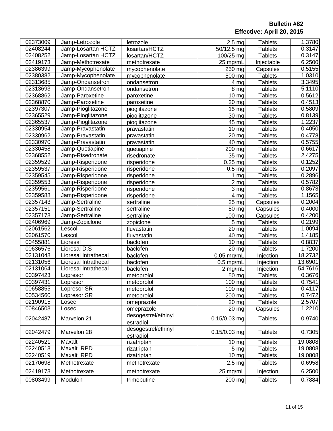| 02373009<br>2.5 <sub>mg</sub><br><b>Tablets</b><br>Jamp-Letrozole<br>letrozole<br>Jamp-Losartan HCTZ<br>losartan/HCTZ<br>02408244<br>$\overline{50/12.5}$ mg<br><b>Tablets</b><br>02408252<br>$\frac{100}{25}$ mg<br>Jamp-Losartan HCTZ<br>losartan/HCTZ<br><b>Tablets</b><br>02419173<br>Jamp-Methotrexate<br>25 mg/mL<br>methotrexate<br>Injectable<br>02386399<br>Jamp-Mycophenolate<br>$250$ mg<br>mycophenolate<br>Capsules<br>02380382<br><b>Tablets</b><br>Jamp-Mycophenolate<br>500 mg<br>mycophenolate<br>02313685<br>Jamp-Ondansetron<br><b>Tablets</b><br>4 <sub>mg</sub><br>ondansetron<br>02313693<br>Jamp-Ondansetron<br>$8 \mathrm{mg}$<br><b>Tablets</b><br>ondansetron<br>02368862<br>Jamp-Paroxetine<br>10 mg<br><b>Tablets</b><br>paroxetine<br>02368870<br>Jamp-Paroxetine<br>$\overline{20}$ mg<br><b>Tablets</b><br>paroxetine<br>02397307<br><b>Tablets</b><br>Jamp-Pioglitazone<br>pioglitazone<br>15 <sub>mg</sub><br>02365529<br>Jamp-Pioglitazone<br><b>Tablets</b><br>30 mg<br>pioglitazone<br>02365537<br>$\overline{4}5$ mg<br><b>Tablets</b><br>Jamp-Pioglitazone<br>pioglitazone<br>02330954<br><b>Tablets</b><br>Jamp-Pravastatin<br>$10 \, mg$<br>pravastatin<br>02330962<br>Jamp-Pravastatin<br>20 mg<br><b>Tablets</b><br>pravastatin<br>02330970<br>$40 \text{ mg}$<br><b>Tablets</b><br>Jamp-Pravastatin<br>pravastatin<br>02330458<br>200 mg<br><b>Tablets</b><br>Jamp-Quetiapine<br>quetiapine<br>02368552<br>35 mg<br><b>Tablets</b><br>Jamp-Risedronate<br>risedronate<br>02359529<br>Jamp-Risperidone<br>$\overline{0.25}$ mg<br><b>Tablets</b><br>risperidone<br>02359537<br>Jamp-Risperidone<br>0.5 <sub>mg</sub><br><b>Tablets</b><br>risperidone<br>02359545<br>Jamp-Risperidone<br><b>Tablets</b><br>1 <sub>mg</sub><br>risperidone<br>02359553<br>Jamp-Risperidone<br>2 <sub>mg</sub><br><b>Tablets</b><br>risperidone<br>02359561<br>Jamp-Risperidone<br>3 mg<br><b>Tablets</b><br>risperidone<br>02359588<br>Jamp-Risperidone<br>4 <sub>mg</sub><br><b>Tablets</b><br>risperidone<br>02357143<br>Jamp-Sertraline<br>$\overline{25}$ mg<br>sertraline<br>Capsules<br>02357151<br>Jamp-Sertraline<br>50 mg<br>sertraline<br>Capsules<br>Jamp-Sertraline<br>$\frac{100}{100}$ mg<br>02357178<br>sertraline<br>Capsules<br>02406969<br>Jamp-Zopiclone<br>5 <sub>mg</sub><br><b>Tablets</b><br>zopiclone<br>02061562<br>$20 \frac{mg}{g}$<br>Lescol<br>fluvastatin<br><b>Tablets</b><br>02061570<br>$\overline{40}$ mg<br>Lescol<br><b>Tablets</b><br>fluvastatin<br>00455881<br>$10 \frac{mg}{g}$<br>Lioresal<br>baclofen<br><b>Tablets</b><br>00636576<br>Lioresal D.S<br>$20$ mg<br>baclofen<br><b>Tablets</b><br>02131048<br>Lioresal Intrathecal<br>$0.05$ mg/mL<br>baclofen<br>Injection<br>02131056<br>Lioresal Intrathecal<br>baclofen<br>Injection<br>$0.5$ mg/mL<br>02131064<br>2 mg/mL<br>Lioresal Intrathecal<br>baclofen<br>Injection<br>00397423<br>50 mg<br><b>Tablets</b><br>metoprolol<br>Lopresor<br>00397431<br><b>Tablets</b><br>$\overline{100}$ mg<br>metoprolol<br>Lopresor<br>00658855<br>Lopresor SR<br>100 mg<br><b>Tablets</b><br>metoprolol<br>00534560<br>Lopresor SR<br>200 mg<br><b>Tablets</b><br>metoprolol<br>02190915<br>Losec<br><b>Tablets</b><br>omeprazole<br>$20 \, mg$<br>00846503<br>omeprazole<br>Capsules<br>Losec<br>$20 \, mg$<br>desogestrel/ethinyl<br>0.15/0.03 mg<br>Marvelon 21<br>02042487<br><b>Tablets</b><br>estradiol<br>desogestrel/ethinyl<br>02042479<br>Marvelon 28<br>$0.15/0.03$ mg<br><b>Tablets</b><br>estradiol<br>Maxalt<br>02240521<br>$10 \text{ mg}$<br><b>Tablets</b><br>rizatriptan<br>Maxalt RPD<br>02240518<br>5 <sub>mg</sub><br><b>Tablets</b><br>rizatriptan<br>Maxalt RPD<br>02240519<br><b>Tablets</b><br>$10 \text{ mg}$<br>rizatriptan<br>02170698<br>Methotrexate<br><b>Tablets</b><br>methotrexate<br>2.5 <sub>mg</sub> |          |              |              |          |           |                     |
|---------------------------------------------------------------------------------------------------------------------------------------------------------------------------------------------------------------------------------------------------------------------------------------------------------------------------------------------------------------------------------------------------------------------------------------------------------------------------------------------------------------------------------------------------------------------------------------------------------------------------------------------------------------------------------------------------------------------------------------------------------------------------------------------------------------------------------------------------------------------------------------------------------------------------------------------------------------------------------------------------------------------------------------------------------------------------------------------------------------------------------------------------------------------------------------------------------------------------------------------------------------------------------------------------------------------------------------------------------------------------------------------------------------------------------------------------------------------------------------------------------------------------------------------------------------------------------------------------------------------------------------------------------------------------------------------------------------------------------------------------------------------------------------------------------------------------------------------------------------------------------------------------------------------------------------------------------------------------------------------------------------------------------------------------------------------------------------------------------------------------------------------------------------------------------------------------------------------------------------------------------------------------------------------------------------------------------------------------------------------------------------------------------------------------------------------------------------------------------------------------------------------------------------------------------------------------------------------------------------------------------------------------------------------------------------------------------------------------------------------------------------------------------------------------------------------------------------------------------------------------------------------------------------------------------------------------------------------------------------------------------------------------------------------------------------------------------------------------------------------------------------------------------------------------------------------------------------------------------------------------------------------------------------------------------------------------------------------------------------------------------------------------------------------------------------------------------------------------------------------------------------------------------------------------------------------------------------------------------------------------------------------------------------------------------------------------------------------------------------------------------------------------------------------------------------------------------------------------------|----------|--------------|--------------|----------|-----------|---------------------|
|                                                                                                                                                                                                                                                                                                                                                                                                                                                                                                                                                                                                                                                                                                                                                                                                                                                                                                                                                                                                                                                                                                                                                                                                                                                                                                                                                                                                                                                                                                                                                                                                                                                                                                                                                                                                                                                                                                                                                                                                                                                                                                                                                                                                                                                                                                                                                                                                                                                                                                                                                                                                                                                                                                                                                                                                                                                                                                                                                                                                                                                                                                                                                                                                                                                                                                                                                                                                                                                                                                                                                                                                                                                                                                                                                                                                                                                         |          |              |              |          |           | 1.3780              |
|                                                                                                                                                                                                                                                                                                                                                                                                                                                                                                                                                                                                                                                                                                                                                                                                                                                                                                                                                                                                                                                                                                                                                                                                                                                                                                                                                                                                                                                                                                                                                                                                                                                                                                                                                                                                                                                                                                                                                                                                                                                                                                                                                                                                                                                                                                                                                                                                                                                                                                                                                                                                                                                                                                                                                                                                                                                                                                                                                                                                                                                                                                                                                                                                                                                                                                                                                                                                                                                                                                                                                                                                                                                                                                                                                                                                                                                         |          |              |              |          |           | 0.3147              |
|                                                                                                                                                                                                                                                                                                                                                                                                                                                                                                                                                                                                                                                                                                                                                                                                                                                                                                                                                                                                                                                                                                                                                                                                                                                                                                                                                                                                                                                                                                                                                                                                                                                                                                                                                                                                                                                                                                                                                                                                                                                                                                                                                                                                                                                                                                                                                                                                                                                                                                                                                                                                                                                                                                                                                                                                                                                                                                                                                                                                                                                                                                                                                                                                                                                                                                                                                                                                                                                                                                                                                                                                                                                                                                                                                                                                                                                         |          |              |              |          |           | 0.3147              |
|                                                                                                                                                                                                                                                                                                                                                                                                                                                                                                                                                                                                                                                                                                                                                                                                                                                                                                                                                                                                                                                                                                                                                                                                                                                                                                                                                                                                                                                                                                                                                                                                                                                                                                                                                                                                                                                                                                                                                                                                                                                                                                                                                                                                                                                                                                                                                                                                                                                                                                                                                                                                                                                                                                                                                                                                                                                                                                                                                                                                                                                                                                                                                                                                                                                                                                                                                                                                                                                                                                                                                                                                                                                                                                                                                                                                                                                         |          |              |              |          |           | 6.2500              |
|                                                                                                                                                                                                                                                                                                                                                                                                                                                                                                                                                                                                                                                                                                                                                                                                                                                                                                                                                                                                                                                                                                                                                                                                                                                                                                                                                                                                                                                                                                                                                                                                                                                                                                                                                                                                                                                                                                                                                                                                                                                                                                                                                                                                                                                                                                                                                                                                                                                                                                                                                                                                                                                                                                                                                                                                                                                                                                                                                                                                                                                                                                                                                                                                                                                                                                                                                                                                                                                                                                                                                                                                                                                                                                                                                                                                                                                         |          |              |              |          |           | 0.5155              |
|                                                                                                                                                                                                                                                                                                                                                                                                                                                                                                                                                                                                                                                                                                                                                                                                                                                                                                                                                                                                                                                                                                                                                                                                                                                                                                                                                                                                                                                                                                                                                                                                                                                                                                                                                                                                                                                                                                                                                                                                                                                                                                                                                                                                                                                                                                                                                                                                                                                                                                                                                                                                                                                                                                                                                                                                                                                                                                                                                                                                                                                                                                                                                                                                                                                                                                                                                                                                                                                                                                                                                                                                                                                                                                                                                                                                                                                         |          |              |              |          |           | 1.0310              |
|                                                                                                                                                                                                                                                                                                                                                                                                                                                                                                                                                                                                                                                                                                                                                                                                                                                                                                                                                                                                                                                                                                                                                                                                                                                                                                                                                                                                                                                                                                                                                                                                                                                                                                                                                                                                                                                                                                                                                                                                                                                                                                                                                                                                                                                                                                                                                                                                                                                                                                                                                                                                                                                                                                                                                                                                                                                                                                                                                                                                                                                                                                                                                                                                                                                                                                                                                                                                                                                                                                                                                                                                                                                                                                                                                                                                                                                         |          |              |              |          |           | 3.3495              |
|                                                                                                                                                                                                                                                                                                                                                                                                                                                                                                                                                                                                                                                                                                                                                                                                                                                                                                                                                                                                                                                                                                                                                                                                                                                                                                                                                                                                                                                                                                                                                                                                                                                                                                                                                                                                                                                                                                                                                                                                                                                                                                                                                                                                                                                                                                                                                                                                                                                                                                                                                                                                                                                                                                                                                                                                                                                                                                                                                                                                                                                                                                                                                                                                                                                                                                                                                                                                                                                                                                                                                                                                                                                                                                                                                                                                                                                         |          |              |              |          |           | 5.1110              |
|                                                                                                                                                                                                                                                                                                                                                                                                                                                                                                                                                                                                                                                                                                                                                                                                                                                                                                                                                                                                                                                                                                                                                                                                                                                                                                                                                                                                                                                                                                                                                                                                                                                                                                                                                                                                                                                                                                                                                                                                                                                                                                                                                                                                                                                                                                                                                                                                                                                                                                                                                                                                                                                                                                                                                                                                                                                                                                                                                                                                                                                                                                                                                                                                                                                                                                                                                                                                                                                                                                                                                                                                                                                                                                                                                                                                                                                         |          |              |              |          |           | 0.5612              |
|                                                                                                                                                                                                                                                                                                                                                                                                                                                                                                                                                                                                                                                                                                                                                                                                                                                                                                                                                                                                                                                                                                                                                                                                                                                                                                                                                                                                                                                                                                                                                                                                                                                                                                                                                                                                                                                                                                                                                                                                                                                                                                                                                                                                                                                                                                                                                                                                                                                                                                                                                                                                                                                                                                                                                                                                                                                                                                                                                                                                                                                                                                                                                                                                                                                                                                                                                                                                                                                                                                                                                                                                                                                                                                                                                                                                                                                         |          |              |              |          |           | 0.4513              |
|                                                                                                                                                                                                                                                                                                                                                                                                                                                                                                                                                                                                                                                                                                                                                                                                                                                                                                                                                                                                                                                                                                                                                                                                                                                                                                                                                                                                                                                                                                                                                                                                                                                                                                                                                                                                                                                                                                                                                                                                                                                                                                                                                                                                                                                                                                                                                                                                                                                                                                                                                                                                                                                                                                                                                                                                                                                                                                                                                                                                                                                                                                                                                                                                                                                                                                                                                                                                                                                                                                                                                                                                                                                                                                                                                                                                                                                         |          |              |              |          |           | 0.5809              |
|                                                                                                                                                                                                                                                                                                                                                                                                                                                                                                                                                                                                                                                                                                                                                                                                                                                                                                                                                                                                                                                                                                                                                                                                                                                                                                                                                                                                                                                                                                                                                                                                                                                                                                                                                                                                                                                                                                                                                                                                                                                                                                                                                                                                                                                                                                                                                                                                                                                                                                                                                                                                                                                                                                                                                                                                                                                                                                                                                                                                                                                                                                                                                                                                                                                                                                                                                                                                                                                                                                                                                                                                                                                                                                                                                                                                                                                         |          |              |              |          |           | 0.8139              |
|                                                                                                                                                                                                                                                                                                                                                                                                                                                                                                                                                                                                                                                                                                                                                                                                                                                                                                                                                                                                                                                                                                                                                                                                                                                                                                                                                                                                                                                                                                                                                                                                                                                                                                                                                                                                                                                                                                                                                                                                                                                                                                                                                                                                                                                                                                                                                                                                                                                                                                                                                                                                                                                                                                                                                                                                                                                                                                                                                                                                                                                                                                                                                                                                                                                                                                                                                                                                                                                                                                                                                                                                                                                                                                                                                                                                                                                         |          |              |              |          |           | 1.2237              |
|                                                                                                                                                                                                                                                                                                                                                                                                                                                                                                                                                                                                                                                                                                                                                                                                                                                                                                                                                                                                                                                                                                                                                                                                                                                                                                                                                                                                                                                                                                                                                                                                                                                                                                                                                                                                                                                                                                                                                                                                                                                                                                                                                                                                                                                                                                                                                                                                                                                                                                                                                                                                                                                                                                                                                                                                                                                                                                                                                                                                                                                                                                                                                                                                                                                                                                                                                                                                                                                                                                                                                                                                                                                                                                                                                                                                                                                         |          |              |              |          |           | 0.4050              |
|                                                                                                                                                                                                                                                                                                                                                                                                                                                                                                                                                                                                                                                                                                                                                                                                                                                                                                                                                                                                                                                                                                                                                                                                                                                                                                                                                                                                                                                                                                                                                                                                                                                                                                                                                                                                                                                                                                                                                                                                                                                                                                                                                                                                                                                                                                                                                                                                                                                                                                                                                                                                                                                                                                                                                                                                                                                                                                                                                                                                                                                                                                                                                                                                                                                                                                                                                                                                                                                                                                                                                                                                                                                                                                                                                                                                                                                         |          |              |              |          |           | 0.4778              |
|                                                                                                                                                                                                                                                                                                                                                                                                                                                                                                                                                                                                                                                                                                                                                                                                                                                                                                                                                                                                                                                                                                                                                                                                                                                                                                                                                                                                                                                                                                                                                                                                                                                                                                                                                                                                                                                                                                                                                                                                                                                                                                                                                                                                                                                                                                                                                                                                                                                                                                                                                                                                                                                                                                                                                                                                                                                                                                                                                                                                                                                                                                                                                                                                                                                                                                                                                                                                                                                                                                                                                                                                                                                                                                                                                                                                                                                         |          |              |              |          |           | 0.5755              |
|                                                                                                                                                                                                                                                                                                                                                                                                                                                                                                                                                                                                                                                                                                                                                                                                                                                                                                                                                                                                                                                                                                                                                                                                                                                                                                                                                                                                                                                                                                                                                                                                                                                                                                                                                                                                                                                                                                                                                                                                                                                                                                                                                                                                                                                                                                                                                                                                                                                                                                                                                                                                                                                                                                                                                                                                                                                                                                                                                                                                                                                                                                                                                                                                                                                                                                                                                                                                                                                                                                                                                                                                                                                                                                                                                                                                                                                         |          |              |              |          |           | 0.6617              |
|                                                                                                                                                                                                                                                                                                                                                                                                                                                                                                                                                                                                                                                                                                                                                                                                                                                                                                                                                                                                                                                                                                                                                                                                                                                                                                                                                                                                                                                                                                                                                                                                                                                                                                                                                                                                                                                                                                                                                                                                                                                                                                                                                                                                                                                                                                                                                                                                                                                                                                                                                                                                                                                                                                                                                                                                                                                                                                                                                                                                                                                                                                                                                                                                                                                                                                                                                                                                                                                                                                                                                                                                                                                                                                                                                                                                                                                         |          |              |              |          |           | 2.4275              |
|                                                                                                                                                                                                                                                                                                                                                                                                                                                                                                                                                                                                                                                                                                                                                                                                                                                                                                                                                                                                                                                                                                                                                                                                                                                                                                                                                                                                                                                                                                                                                                                                                                                                                                                                                                                                                                                                                                                                                                                                                                                                                                                                                                                                                                                                                                                                                                                                                                                                                                                                                                                                                                                                                                                                                                                                                                                                                                                                                                                                                                                                                                                                                                                                                                                                                                                                                                                                                                                                                                                                                                                                                                                                                                                                                                                                                                                         |          |              |              |          |           | 0.1252              |
|                                                                                                                                                                                                                                                                                                                                                                                                                                                                                                                                                                                                                                                                                                                                                                                                                                                                                                                                                                                                                                                                                                                                                                                                                                                                                                                                                                                                                                                                                                                                                                                                                                                                                                                                                                                                                                                                                                                                                                                                                                                                                                                                                                                                                                                                                                                                                                                                                                                                                                                                                                                                                                                                                                                                                                                                                                                                                                                                                                                                                                                                                                                                                                                                                                                                                                                                                                                                                                                                                                                                                                                                                                                                                                                                                                                                                                                         |          |              |              |          |           | 0.2097              |
|                                                                                                                                                                                                                                                                                                                                                                                                                                                                                                                                                                                                                                                                                                                                                                                                                                                                                                                                                                                                                                                                                                                                                                                                                                                                                                                                                                                                                                                                                                                                                                                                                                                                                                                                                                                                                                                                                                                                                                                                                                                                                                                                                                                                                                                                                                                                                                                                                                                                                                                                                                                                                                                                                                                                                                                                                                                                                                                                                                                                                                                                                                                                                                                                                                                                                                                                                                                                                                                                                                                                                                                                                                                                                                                                                                                                                                                         |          |              |              |          |           | 0.2896              |
|                                                                                                                                                                                                                                                                                                                                                                                                                                                                                                                                                                                                                                                                                                                                                                                                                                                                                                                                                                                                                                                                                                                                                                                                                                                                                                                                                                                                                                                                                                                                                                                                                                                                                                                                                                                                                                                                                                                                                                                                                                                                                                                                                                                                                                                                                                                                                                                                                                                                                                                                                                                                                                                                                                                                                                                                                                                                                                                                                                                                                                                                                                                                                                                                                                                                                                                                                                                                                                                                                                                                                                                                                                                                                                                                                                                                                                                         |          |              |              |          |           | 0.5782              |
|                                                                                                                                                                                                                                                                                                                                                                                                                                                                                                                                                                                                                                                                                                                                                                                                                                                                                                                                                                                                                                                                                                                                                                                                                                                                                                                                                                                                                                                                                                                                                                                                                                                                                                                                                                                                                                                                                                                                                                                                                                                                                                                                                                                                                                                                                                                                                                                                                                                                                                                                                                                                                                                                                                                                                                                                                                                                                                                                                                                                                                                                                                                                                                                                                                                                                                                                                                                                                                                                                                                                                                                                                                                                                                                                                                                                                                                         |          |              |              |          |           | 0.8673              |
|                                                                                                                                                                                                                                                                                                                                                                                                                                                                                                                                                                                                                                                                                                                                                                                                                                                                                                                                                                                                                                                                                                                                                                                                                                                                                                                                                                                                                                                                                                                                                                                                                                                                                                                                                                                                                                                                                                                                                                                                                                                                                                                                                                                                                                                                                                                                                                                                                                                                                                                                                                                                                                                                                                                                                                                                                                                                                                                                                                                                                                                                                                                                                                                                                                                                                                                                                                                                                                                                                                                                                                                                                                                                                                                                                                                                                                                         |          |              |              |          |           | $\overline{1.1565}$ |
|                                                                                                                                                                                                                                                                                                                                                                                                                                                                                                                                                                                                                                                                                                                                                                                                                                                                                                                                                                                                                                                                                                                                                                                                                                                                                                                                                                                                                                                                                                                                                                                                                                                                                                                                                                                                                                                                                                                                                                                                                                                                                                                                                                                                                                                                                                                                                                                                                                                                                                                                                                                                                                                                                                                                                                                                                                                                                                                                                                                                                                                                                                                                                                                                                                                                                                                                                                                                                                                                                                                                                                                                                                                                                                                                                                                                                                                         |          |              |              |          |           | 0.2004              |
|                                                                                                                                                                                                                                                                                                                                                                                                                                                                                                                                                                                                                                                                                                                                                                                                                                                                                                                                                                                                                                                                                                                                                                                                                                                                                                                                                                                                                                                                                                                                                                                                                                                                                                                                                                                                                                                                                                                                                                                                                                                                                                                                                                                                                                                                                                                                                                                                                                                                                                                                                                                                                                                                                                                                                                                                                                                                                                                                                                                                                                                                                                                                                                                                                                                                                                                                                                                                                                                                                                                                                                                                                                                                                                                                                                                                                                                         |          |              |              |          |           | 0.4000              |
|                                                                                                                                                                                                                                                                                                                                                                                                                                                                                                                                                                                                                                                                                                                                                                                                                                                                                                                                                                                                                                                                                                                                                                                                                                                                                                                                                                                                                                                                                                                                                                                                                                                                                                                                                                                                                                                                                                                                                                                                                                                                                                                                                                                                                                                                                                                                                                                                                                                                                                                                                                                                                                                                                                                                                                                                                                                                                                                                                                                                                                                                                                                                                                                                                                                                                                                                                                                                                                                                                                                                                                                                                                                                                                                                                                                                                                                         |          |              |              |          |           | 0.4200              |
|                                                                                                                                                                                                                                                                                                                                                                                                                                                                                                                                                                                                                                                                                                                                                                                                                                                                                                                                                                                                                                                                                                                                                                                                                                                                                                                                                                                                                                                                                                                                                                                                                                                                                                                                                                                                                                                                                                                                                                                                                                                                                                                                                                                                                                                                                                                                                                                                                                                                                                                                                                                                                                                                                                                                                                                                                                                                                                                                                                                                                                                                                                                                                                                                                                                                                                                                                                                                                                                                                                                                                                                                                                                                                                                                                                                                                                                         |          |              |              |          |           | 0.2199              |
|                                                                                                                                                                                                                                                                                                                                                                                                                                                                                                                                                                                                                                                                                                                                                                                                                                                                                                                                                                                                                                                                                                                                                                                                                                                                                                                                                                                                                                                                                                                                                                                                                                                                                                                                                                                                                                                                                                                                                                                                                                                                                                                                                                                                                                                                                                                                                                                                                                                                                                                                                                                                                                                                                                                                                                                                                                                                                                                                                                                                                                                                                                                                                                                                                                                                                                                                                                                                                                                                                                                                                                                                                                                                                                                                                                                                                                                         |          |              |              |          |           | 1.0094              |
|                                                                                                                                                                                                                                                                                                                                                                                                                                                                                                                                                                                                                                                                                                                                                                                                                                                                                                                                                                                                                                                                                                                                                                                                                                                                                                                                                                                                                                                                                                                                                                                                                                                                                                                                                                                                                                                                                                                                                                                                                                                                                                                                                                                                                                                                                                                                                                                                                                                                                                                                                                                                                                                                                                                                                                                                                                                                                                                                                                                                                                                                                                                                                                                                                                                                                                                                                                                                                                                                                                                                                                                                                                                                                                                                                                                                                                                         |          |              |              |          |           | 1.4185              |
|                                                                                                                                                                                                                                                                                                                                                                                                                                                                                                                                                                                                                                                                                                                                                                                                                                                                                                                                                                                                                                                                                                                                                                                                                                                                                                                                                                                                                                                                                                                                                                                                                                                                                                                                                                                                                                                                                                                                                                                                                                                                                                                                                                                                                                                                                                                                                                                                                                                                                                                                                                                                                                                                                                                                                                                                                                                                                                                                                                                                                                                                                                                                                                                                                                                                                                                                                                                                                                                                                                                                                                                                                                                                                                                                                                                                                                                         |          |              |              |          |           | 0.8837              |
|                                                                                                                                                                                                                                                                                                                                                                                                                                                                                                                                                                                                                                                                                                                                                                                                                                                                                                                                                                                                                                                                                                                                                                                                                                                                                                                                                                                                                                                                                                                                                                                                                                                                                                                                                                                                                                                                                                                                                                                                                                                                                                                                                                                                                                                                                                                                                                                                                                                                                                                                                                                                                                                                                                                                                                                                                                                                                                                                                                                                                                                                                                                                                                                                                                                                                                                                                                                                                                                                                                                                                                                                                                                                                                                                                                                                                                                         |          |              |              |          |           | 1.7200              |
|                                                                                                                                                                                                                                                                                                                                                                                                                                                                                                                                                                                                                                                                                                                                                                                                                                                                                                                                                                                                                                                                                                                                                                                                                                                                                                                                                                                                                                                                                                                                                                                                                                                                                                                                                                                                                                                                                                                                                                                                                                                                                                                                                                                                                                                                                                                                                                                                                                                                                                                                                                                                                                                                                                                                                                                                                                                                                                                                                                                                                                                                                                                                                                                                                                                                                                                                                                                                                                                                                                                                                                                                                                                                                                                                                                                                                                                         |          |              |              |          |           | 18.2732             |
|                                                                                                                                                                                                                                                                                                                                                                                                                                                                                                                                                                                                                                                                                                                                                                                                                                                                                                                                                                                                                                                                                                                                                                                                                                                                                                                                                                                                                                                                                                                                                                                                                                                                                                                                                                                                                                                                                                                                                                                                                                                                                                                                                                                                                                                                                                                                                                                                                                                                                                                                                                                                                                                                                                                                                                                                                                                                                                                                                                                                                                                                                                                                                                                                                                                                                                                                                                                                                                                                                                                                                                                                                                                                                                                                                                                                                                                         |          |              |              |          |           | 13.6901             |
|                                                                                                                                                                                                                                                                                                                                                                                                                                                                                                                                                                                                                                                                                                                                                                                                                                                                                                                                                                                                                                                                                                                                                                                                                                                                                                                                                                                                                                                                                                                                                                                                                                                                                                                                                                                                                                                                                                                                                                                                                                                                                                                                                                                                                                                                                                                                                                                                                                                                                                                                                                                                                                                                                                                                                                                                                                                                                                                                                                                                                                                                                                                                                                                                                                                                                                                                                                                                                                                                                                                                                                                                                                                                                                                                                                                                                                                         |          |              |              |          |           | 54.7616             |
|                                                                                                                                                                                                                                                                                                                                                                                                                                                                                                                                                                                                                                                                                                                                                                                                                                                                                                                                                                                                                                                                                                                                                                                                                                                                                                                                                                                                                                                                                                                                                                                                                                                                                                                                                                                                                                                                                                                                                                                                                                                                                                                                                                                                                                                                                                                                                                                                                                                                                                                                                                                                                                                                                                                                                                                                                                                                                                                                                                                                                                                                                                                                                                                                                                                                                                                                                                                                                                                                                                                                                                                                                                                                                                                                                                                                                                                         |          |              |              |          |           | 0.3676              |
|                                                                                                                                                                                                                                                                                                                                                                                                                                                                                                                                                                                                                                                                                                                                                                                                                                                                                                                                                                                                                                                                                                                                                                                                                                                                                                                                                                                                                                                                                                                                                                                                                                                                                                                                                                                                                                                                                                                                                                                                                                                                                                                                                                                                                                                                                                                                                                                                                                                                                                                                                                                                                                                                                                                                                                                                                                                                                                                                                                                                                                                                                                                                                                                                                                                                                                                                                                                                                                                                                                                                                                                                                                                                                                                                                                                                                                                         |          |              |              |          |           | 0.7541              |
|                                                                                                                                                                                                                                                                                                                                                                                                                                                                                                                                                                                                                                                                                                                                                                                                                                                                                                                                                                                                                                                                                                                                                                                                                                                                                                                                                                                                                                                                                                                                                                                                                                                                                                                                                                                                                                                                                                                                                                                                                                                                                                                                                                                                                                                                                                                                                                                                                                                                                                                                                                                                                                                                                                                                                                                                                                                                                                                                                                                                                                                                                                                                                                                                                                                                                                                                                                                                                                                                                                                                                                                                                                                                                                                                                                                                                                                         |          |              |              |          |           | 0.4117              |
|                                                                                                                                                                                                                                                                                                                                                                                                                                                                                                                                                                                                                                                                                                                                                                                                                                                                                                                                                                                                                                                                                                                                                                                                                                                                                                                                                                                                                                                                                                                                                                                                                                                                                                                                                                                                                                                                                                                                                                                                                                                                                                                                                                                                                                                                                                                                                                                                                                                                                                                                                                                                                                                                                                                                                                                                                                                                                                                                                                                                                                                                                                                                                                                                                                                                                                                                                                                                                                                                                                                                                                                                                                                                                                                                                                                                                                                         |          |              |              |          |           | 0.7472              |
|                                                                                                                                                                                                                                                                                                                                                                                                                                                                                                                                                                                                                                                                                                                                                                                                                                                                                                                                                                                                                                                                                                                                                                                                                                                                                                                                                                                                                                                                                                                                                                                                                                                                                                                                                                                                                                                                                                                                                                                                                                                                                                                                                                                                                                                                                                                                                                                                                                                                                                                                                                                                                                                                                                                                                                                                                                                                                                                                                                                                                                                                                                                                                                                                                                                                                                                                                                                                                                                                                                                                                                                                                                                                                                                                                                                                                                                         |          |              |              |          |           | 2.5707              |
|                                                                                                                                                                                                                                                                                                                                                                                                                                                                                                                                                                                                                                                                                                                                                                                                                                                                                                                                                                                                                                                                                                                                                                                                                                                                                                                                                                                                                                                                                                                                                                                                                                                                                                                                                                                                                                                                                                                                                                                                                                                                                                                                                                                                                                                                                                                                                                                                                                                                                                                                                                                                                                                                                                                                                                                                                                                                                                                                                                                                                                                                                                                                                                                                                                                                                                                                                                                                                                                                                                                                                                                                                                                                                                                                                                                                                                                         |          |              |              |          |           | 1.2210              |
|                                                                                                                                                                                                                                                                                                                                                                                                                                                                                                                                                                                                                                                                                                                                                                                                                                                                                                                                                                                                                                                                                                                                                                                                                                                                                                                                                                                                                                                                                                                                                                                                                                                                                                                                                                                                                                                                                                                                                                                                                                                                                                                                                                                                                                                                                                                                                                                                                                                                                                                                                                                                                                                                                                                                                                                                                                                                                                                                                                                                                                                                                                                                                                                                                                                                                                                                                                                                                                                                                                                                                                                                                                                                                                                                                                                                                                                         |          |              |              |          |           | 0.9740              |
|                                                                                                                                                                                                                                                                                                                                                                                                                                                                                                                                                                                                                                                                                                                                                                                                                                                                                                                                                                                                                                                                                                                                                                                                                                                                                                                                                                                                                                                                                                                                                                                                                                                                                                                                                                                                                                                                                                                                                                                                                                                                                                                                                                                                                                                                                                                                                                                                                                                                                                                                                                                                                                                                                                                                                                                                                                                                                                                                                                                                                                                                                                                                                                                                                                                                                                                                                                                                                                                                                                                                                                                                                                                                                                                                                                                                                                                         |          |              |              |          |           | 0.7305              |
|                                                                                                                                                                                                                                                                                                                                                                                                                                                                                                                                                                                                                                                                                                                                                                                                                                                                                                                                                                                                                                                                                                                                                                                                                                                                                                                                                                                                                                                                                                                                                                                                                                                                                                                                                                                                                                                                                                                                                                                                                                                                                                                                                                                                                                                                                                                                                                                                                                                                                                                                                                                                                                                                                                                                                                                                                                                                                                                                                                                                                                                                                                                                                                                                                                                                                                                                                                                                                                                                                                                                                                                                                                                                                                                                                                                                                                                         |          |              |              |          |           | 19.0808             |
|                                                                                                                                                                                                                                                                                                                                                                                                                                                                                                                                                                                                                                                                                                                                                                                                                                                                                                                                                                                                                                                                                                                                                                                                                                                                                                                                                                                                                                                                                                                                                                                                                                                                                                                                                                                                                                                                                                                                                                                                                                                                                                                                                                                                                                                                                                                                                                                                                                                                                                                                                                                                                                                                                                                                                                                                                                                                                                                                                                                                                                                                                                                                                                                                                                                                                                                                                                                                                                                                                                                                                                                                                                                                                                                                                                                                                                                         |          |              |              |          |           | 19.0808             |
|                                                                                                                                                                                                                                                                                                                                                                                                                                                                                                                                                                                                                                                                                                                                                                                                                                                                                                                                                                                                                                                                                                                                                                                                                                                                                                                                                                                                                                                                                                                                                                                                                                                                                                                                                                                                                                                                                                                                                                                                                                                                                                                                                                                                                                                                                                                                                                                                                                                                                                                                                                                                                                                                                                                                                                                                                                                                                                                                                                                                                                                                                                                                                                                                                                                                                                                                                                                                                                                                                                                                                                                                                                                                                                                                                                                                                                                         |          |              |              |          |           | 19.0808             |
|                                                                                                                                                                                                                                                                                                                                                                                                                                                                                                                                                                                                                                                                                                                                                                                                                                                                                                                                                                                                                                                                                                                                                                                                                                                                                                                                                                                                                                                                                                                                                                                                                                                                                                                                                                                                                                                                                                                                                                                                                                                                                                                                                                                                                                                                                                                                                                                                                                                                                                                                                                                                                                                                                                                                                                                                                                                                                                                                                                                                                                                                                                                                                                                                                                                                                                                                                                                                                                                                                                                                                                                                                                                                                                                                                                                                                                                         |          |              |              |          |           | 0.6958              |
|                                                                                                                                                                                                                                                                                                                                                                                                                                                                                                                                                                                                                                                                                                                                                                                                                                                                                                                                                                                                                                                                                                                                                                                                                                                                                                                                                                                                                                                                                                                                                                                                                                                                                                                                                                                                                                                                                                                                                                                                                                                                                                                                                                                                                                                                                                                                                                                                                                                                                                                                                                                                                                                                                                                                                                                                                                                                                                                                                                                                                                                                                                                                                                                                                                                                                                                                                                                                                                                                                                                                                                                                                                                                                                                                                                                                                                                         | 02419173 | Methotrexate | methotrexate | 25 mg/mL | Injection | 6.2500              |
| Modulon<br>00803499<br>trimebutine<br><b>Tablets</b><br>200 mg                                                                                                                                                                                                                                                                                                                                                                                                                                                                                                                                                                                                                                                                                                                                                                                                                                                                                                                                                                                                                                                                                                                                                                                                                                                                                                                                                                                                                                                                                                                                                                                                                                                                                                                                                                                                                                                                                                                                                                                                                                                                                                                                                                                                                                                                                                                                                                                                                                                                                                                                                                                                                                                                                                                                                                                                                                                                                                                                                                                                                                                                                                                                                                                                                                                                                                                                                                                                                                                                                                                                                                                                                                                                                                                                                                                          |          |              |              |          |           | 0.7884              |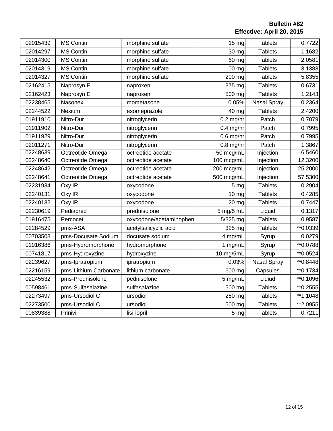**Bulletin #82 Effective: April 20, 2015**

| 02015439 | <b>MS Contin</b>      | morphine sulfate        | $15 \text{ mg}$ | <b>Tablets</b>     | 0.7722    |
|----------|-----------------------|-------------------------|-----------------|--------------------|-----------|
| 02014297 | <b>MS Contin</b>      | morphine sulfate        | 30 mg           | <b>Tablets</b>     | 1.1682    |
| 02014300 | <b>MS Contin</b>      | morphine sulfate        | 60 mg           | <b>Tablets</b>     | 2.0581    |
| 02014319 | <b>MS Contin</b>      | morphine sulfate        | 100 mg          | <b>Tablets</b>     | 3.1383    |
| 02014327 | <b>MS Contin</b>      | morphine sulfate        | 200 mg          | <b>Tablets</b>     | 5.8355    |
| 02162415 | Naprosyn E            | naproxen                | 375 mg          | <b>Tablets</b>     | 0.6731    |
| 02162423 | Naprosyn E            | naproxen                | 500 mg          | <b>Tablets</b>     | 1.2143    |
| 02238465 | Nasonex               | mometasone              | 0.05%           | <b>Nasal Spray</b> | 0.2364    |
| 02244522 | Nexium                | esomeprazole            | 40 mg           | <b>Tablets</b>     | 2.4200    |
| 01911910 | Nitro-Dur             | nitroglycerin           | $0.2$ mg/hr     | Patch              | 0.7079    |
| 01911902 | Nitro-Dur             | nitroglycerin           | $0.4$ mg/hr     | Patch              | 0.7995    |
| 01911929 | Nitro-Dur             | nitroglycerin           | $0.6$ mg/hr     | Patch              | 0.7995    |
| 02011271 | Nitro-Dur             | nitroglycerin           | $0.8$ mg/hr     | Patch              | 1.3867    |
| 02248639 | Octreotide Omega      | octreotide acetate      | 50 mcg/mL       | Injection          | 6.5460    |
| 02248640 | Octreotide Omega      | octreotide acetate      | 100 mcg/mL      | Injection          | 12.3200   |
| 02248642 | Octreotide Omega      | octreotide acetate      | 200 mcg/mL      | Injection          | 25.2000   |
| 02248641 | Octreotide Omega      | octreotide acetate      | 500 mcg/mL      | Injection          | 57.5300   |
| 02231934 | Oxy IR                | oxycodone               | 5 <sub>mg</sub> | <b>Tablets</b>     | 0.2904    |
| 02240131 | Oxy IR                | oxycodone               | 10 mg           | <b>Tablets</b>     | 0.4285    |
| 02240132 | Oxy IR                | oxycodone               | 20 mg           | <b>Tablets</b>     | 0.7447    |
| 02230619 | Pediapred             | prednisolone            | 5 mg/5 mL       | Liquid             | 0.1317    |
| 01916475 | Percocet              | oxycodone/acetaminophen | 5/325 mg        | <b>Tablets</b>     | 0.9587    |
| 02284529 | pms-ASA               | acetylsalicyclic acid   | 325 mg          | <b>Tablets</b>     | ** 0.0339 |
| 00703508 | pms-Docusate Sodium   | docusate sodium         | 4 mg/mL         | Syrup              | 0.0279    |
| 01916386 | pms-Hydromorphone     | hydromorphone           | 1 mg/mL         | Syrup              | ** 0.0788 |
| 00741817 | pms-Hydroxyzine       | hydroxyzine             | 10 mg/5mL       | Syrup              | ** 0.0524 |
| 02239627 | pms-Ipratropium       | ipratropium             | 0.03%           | Nasal Spray        | ** 0.8448 |
| 02216159 | pms-Lithium Carbonate | lithium carbonate       | 600 mg          | Capsules           | ** 0.1734 |
| 02245532 | pms-Prednisolone      | pednisolone             | 5 mg/mL         | Liqiud             | ** 0.1096 |
| 00598461 | pms-Sulfasalazine     | sulfasalazine           | 500 mg          | <b>Tablets</b>     | ** 0.2555 |
| 02273497 | pms-Ursodiol C        | ursodiol                | 250 mg          | <b>Tablets</b>     | **1.1048  |
| 02273500 | pms-Ursodiol C        | ursodiol                | 500 mg          | <b>Tablets</b>     | **2.0955  |
| 00839388 | Prinivil              | lisinopril              | 5 mg            | <b>Tablets</b>     | 0.7211    |
|          |                       |                         |                 |                    |           |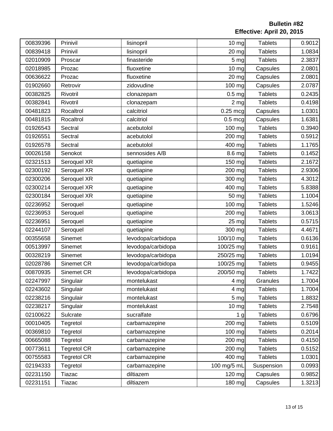| 00839396 | Prinivil           | lisinopril         | 10 mg           | <b>Tablets</b> | 0.9012 |
|----------|--------------------|--------------------|-----------------|----------------|--------|
| 00839418 | Prinivil           | lisinopril         | 20 mg           | <b>Tablets</b> | 1.0834 |
| 02010909 | Proscar            | finasteride        | 5 <sub>mg</sub> | <b>Tablets</b> | 2.3837 |
| 02018985 | Prozac             | fluoxetine         | $10$ mg         | Capsules       | 2.0801 |
| 00636622 | Prozac             | fluoxetine         | 20 mg           | Capsules       | 2.0801 |
| 01902660 | Retrovir           | zidovudine         | 100 mg          | Capsules       | 2.0787 |
| 00382825 | Rivotril           | clonazepam         | $0.5$ mg        | <b>Tablets</b> | 0.2435 |
| 00382841 | Rivotril           | clonazepam         | 2 <sub>mg</sub> | <b>Tablets</b> | 0.4198 |
| 00481823 | Rocaltrol          | calcitriol         | $0.25$ mcg      | Capsules       | 1.0301 |
| 00481815 | Rocaltrol          | calcitriol         | $0.5$ mcg       | Capsules       | 1.6381 |
| 01926543 | Sectral            | acebutolol         | 100 mg          | <b>Tablets</b> | 0.3940 |
| 01926551 | Sectral            | acebutolol         | 200 mg          | <b>Tablets</b> | 0.5912 |
| 01926578 | Sectral            | acebutolol         | 400 mg          | <b>Tablets</b> | 1.1765 |
| 00026158 | Senokot            | sennosides A/B     | 8.6 mg          | <b>Tablets</b> | 0.1452 |
| 02321513 | Seroquel XR        | quetiapine         | 150 mg          | <b>Tablets</b> | 2.1672 |
| 02300192 | Seroquel XR        | quetiapine         | 200 mg          | <b>Tablets</b> | 2.9306 |
| 02300206 | Seroquel XR        | quetiapine         | 300 mg          | <b>Tablets</b> | 4.3012 |
| 02300214 | Seroquel XR        | quetiapine         | 400 mg          | <b>Tablets</b> | 5.8388 |
| 02300184 | Seroquel XR        | quetiapine         | 50 mg           | <b>Tablets</b> | 1.1004 |
| 02236952 | Seroquel           | quetiapine         | 100 mg          | <b>Tablets</b> | 1.5246 |
| 02236953 | Seroquel           | quetiapine         | 200 mg          | <b>Tablets</b> | 3.0613 |
| 02236951 | Seroquel           | quetiapine         | 25 mg           | <b>Tablets</b> | 0.5715 |
| 02244107 | Seroquel           | quetiapine         | 300 mg          | <b>Tablets</b> | 4.4671 |
| 00355658 | Sinemet            | levodopa/carbidopa | 100/10 mg       | <b>Tablets</b> | 0.6136 |
| 00513997 | Sinemet            | levodopa/carbidopa | 100/25 mg       | <b>Tablets</b> | 0.9161 |
| 00328219 | Sinemet            | levodopa/carbidopa | 250/25 mg       | <b>Tablets</b> | 1.0194 |
| 02028786 | Sinemet CR         | levodopa/carbidopa | 100/25 mg       | <b>Tablets</b> | 0.9455 |
| 00870935 | Sinemet CR         | levodopa/carbidopa | 200/50 mg       | <b>Tablets</b> | 1.7422 |
| 02247997 | Singulair          | montelukast        | 4 mg            | Granules       | 1.7004 |
| 02243602 | Singulair          | montelukast        | 4 mg            | <b>Tablets</b> | 1.7004 |
| 02238216 | Singulair          | montelukast        | 5 mg            | <b>Tablets</b> | 1.8832 |
| 02238217 | Singulair          | montelukast        | $10 \, mg$      | <b>Tablets</b> | 2.7548 |
| 02100622 | Sulcrate           | sucralfate         | 1 <sub>g</sub>  | <b>Tablets</b> | 0.6796 |
| 00010405 | Tegretol           | carbamazepine      | 200 mg          | <b>Tablets</b> | 0.5109 |
| 00369810 | Tegretol           | carbamazepine      | 100 mg          | <b>Tablets</b> | 0.2014 |
| 00665088 | Tegretol           | carbamazepine      | 200 mg          | <b>Tablets</b> | 0.4150 |
| 00773611 | <b>Tegretol CR</b> | carbamazepine      | 200 mg          | <b>Tablets</b> | 0.5152 |
| 00755583 | <b>Tegretol CR</b> | carbamazepine      | 400 mg          | <b>Tablets</b> | 1.0301 |
| 02194333 | Tegretol           | carbamazepine      | 100 mg/5 mL     | Suspension     | 0.0993 |
| 02231150 | Tiazac             | diltiazem          | 120 mg          | Capsules       | 0.9852 |
| 02231151 | Tiazac             | diltiazem          | 180 mg          | Capsules       | 1.3213 |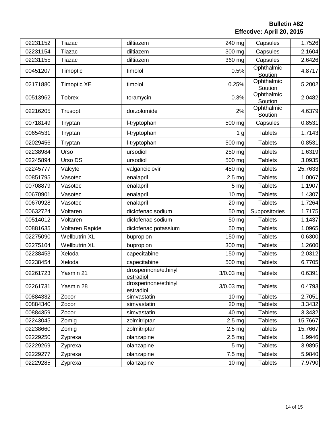| 02231152 | Tiazac               | diltiazem                         | 240 mg            | Capsules              | 1.7526  |
|----------|----------------------|-----------------------------------|-------------------|-----------------------|---------|
| 02231154 | Tiazac               | diltiazem                         | 300 mg            | Capsules              | 2.1604  |
| 02231155 | Tiazac               | diltiazem                         | 360 mg            | Capsules              | 2.6426  |
| 00451207 | Timoptic             | timolol                           | 0.5%              | Ophthalmic<br>Soution | 4.8717  |
| 02171880 | <b>Timoptic XE</b>   | timolol                           | 0.25%             | Ophthalmic<br>Soution | 5.2002  |
| 00513962 | <b>Tobrex</b>        | toramycin                         | 0.3%              | Ophthalmic<br>Soution | 2.0482  |
| 02216205 | Trusopt              | dorzolomide                       | 2%                | Ophthalmic<br>Soution | 4.6379  |
| 00718149 | Tryptan              | I-tryptophan                      | 500 mg            | Capsules              | 0.8531  |
| 00654531 | Tryptan              | I-tryptophan                      | 1 <sub>g</sub>    | <b>Tablets</b>        | 1.7143  |
| 02029456 | Tryptan              | I-tryptophan                      | 500 mg            | <b>Tablets</b>        | 0.8531  |
| 02238984 | Urso                 | ursodiol                          | 250 mg            | <b>Tablets</b>        | 1.6319  |
| 02245894 | Urso DS              | ursodiol                          | 500 mg            | <b>Tablets</b>        | 3.0935  |
| 02245777 | Valcyte              | valganciclovir                    | 450 mg            | <b>Tablets</b>        | 25.7633 |
| 00851795 | Vasotec              | enalapril                         | 2.5 <sub>mg</sub> | <b>Tablets</b>        | 1.0067  |
| 00708879 | Vasotec              | enalapril                         | 5 mg              | <b>Tablets</b>        | 1.1907  |
| 00670901 | Vasotec              | enalapril                         | 10 mg             | <b>Tablets</b>        | 1.4307  |
| 00670928 | Vasotec              | enalapril                         | 20 mg             | <b>Tablets</b>        | 1.7264  |
| 00632724 | Voltaren             | diclofenac sodium                 | 50 mg             | Suppositories         | 1.7175  |
| 00514012 | Voltaren             | diclofenac sodium                 | 50 mg             | <b>Tablets</b>        | 1.1437  |
| 00881635 | Voltaren Rapide      | diclofenac potassium              | 50 mg             | <b>Tablets</b>        | 1.0965  |
| 02275090 | <b>Wellbutrin XL</b> | bupropion                         | 150 mg            | <b>Tablets</b>        | 0.6300  |
| 02275104 | <b>Wellbutrin XL</b> | bupropion                         | 300 mg            | <b>Tablets</b>        | 1.2600  |
| 02238453 | Xeloda               | capecitabine                      | 150 mg            | <b>Tablets</b>        | 2.0312  |
| 02238454 | Xeloda               | capecitabine                      | 500 mg            | <b>Tablets</b>        | 6.7705  |
| 02261723 | Yasmin 21            | drosperinone/ethinyl<br>estradiol | 3/0.03 mg         | <b>Tablets</b>        | 0.6391  |
| 02261731 | Yasmin 28            | drosperinone/ethinyl<br>estradiol | $3/0.03$ mg       | <b>Tablets</b>        | 0.4793  |
| 00884332 | Zocor                | simvastatin                       | $10$ mg           | <b>Tablets</b>        | 2.7051  |
| 00884340 | Zocor                | simvastatin                       | $20$ mg           | <b>Tablets</b>        | 3.3432  |
| 00884359 | Zocor                | simvastatin                       | 40 mg             | <b>Tablets</b>        | 3.3432  |
| 02243045 | Zomig                | zolmitriptan                      | $2.5$ mg          | <b>Tablets</b>        | 15.7667 |
| 02238660 | Zomig                | zolmitriptan                      | 2.5 <sub>mg</sub> | <b>Tablets</b>        | 15.7667 |
| 02229250 | Zyprexa              | olanzapine                        | 2.5 <sub>mg</sub> | <b>Tablets</b>        | 1.9946  |
| 02229269 | Zyprexa              | olanzapine                        | 5 <sub>mg</sub>   | <b>Tablets</b>        | 3.9895  |
| 02229277 | Zyprexa              | olanzapine                        | 7.5 mg            | <b>Tablets</b>        | 5.9840  |
| 02229285 | Zyprexa              | olanzapine                        | $10 \, mg$        | <b>Tablets</b>        | 7.9790  |